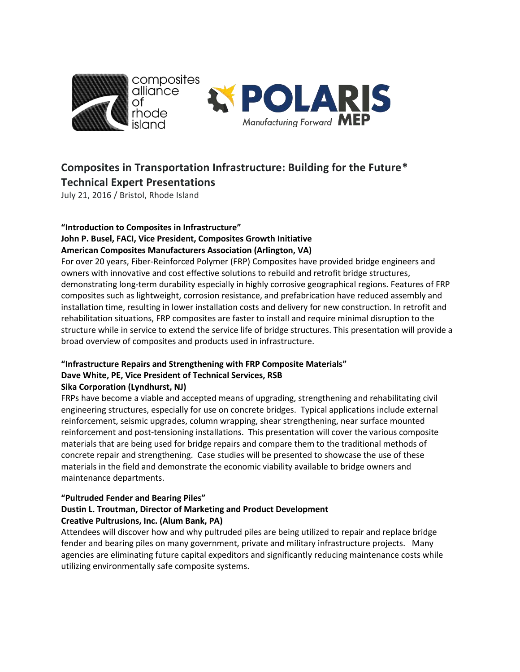

# **Composites in Transportation Infrastructure: Building for the Future\* Technical Expert Presentations**

July 21, 2016 / Bristol, Rhode Island

## **"Introduction to Composites in Infrastructure" John P. Busel, FACI, Vice President, Composites Growth Initiative**

**American Composites Manufacturers Association (Arlington, VA)**

For over 20 years, Fiber-Reinforced Polymer (FRP) Composites have provided bridge engineers and owners with innovative and cost effective solutions to rebuild and retrofit bridge structures, demonstrating long-term durability especially in highly corrosive geographical regions. Features of FRP composites such as lightweight, corrosion resistance, and prefabrication have reduced assembly and installation time, resulting in lower installation costs and delivery for new construction. In retrofit and rehabilitation situations, FRP composites are faster to install and require minimal disruption to the structure while in service to extend the service life of bridge structures. This presentation will provide a broad overview of composites and products used in infrastructure.

#### **"Infrastructure Repairs and Strengthening with FRP Composite Materials" Dave White, PE, Vice President of Technical Services, RSB Sika Corporation (Lyndhurst, NJ)**

FRPs have become a viable and accepted means of upgrading, strengthening and rehabilitating civil engineering structures, especially for use on concrete bridges. Typical applications include external reinforcement, seismic upgrades, column wrapping, shear strengthening, near surface mounted reinforcement and post-tensioning installations. This presentation will cover the various composite materials that are being used for bridge repairs and compare them to the traditional methods of concrete repair and strengthening. Case studies will be presented to showcase the use of these materials in the field and demonstrate the economic viability available to bridge owners and maintenance departments.

## **"Pultruded Fender and Bearing Piles"**

## **Dustin L. Troutman, Director of Marketing and Product Development Creative Pultrusions, Inc. (Alum Bank, PA)**

Attendees will discover how and why pultruded piles are being utilized to repair and replace bridge fender and bearing piles on many government, private and military infrastructure projects. Many agencies are eliminating future capital expeditors and significantly reducing maintenance costs while utilizing environmentally safe composite systems.